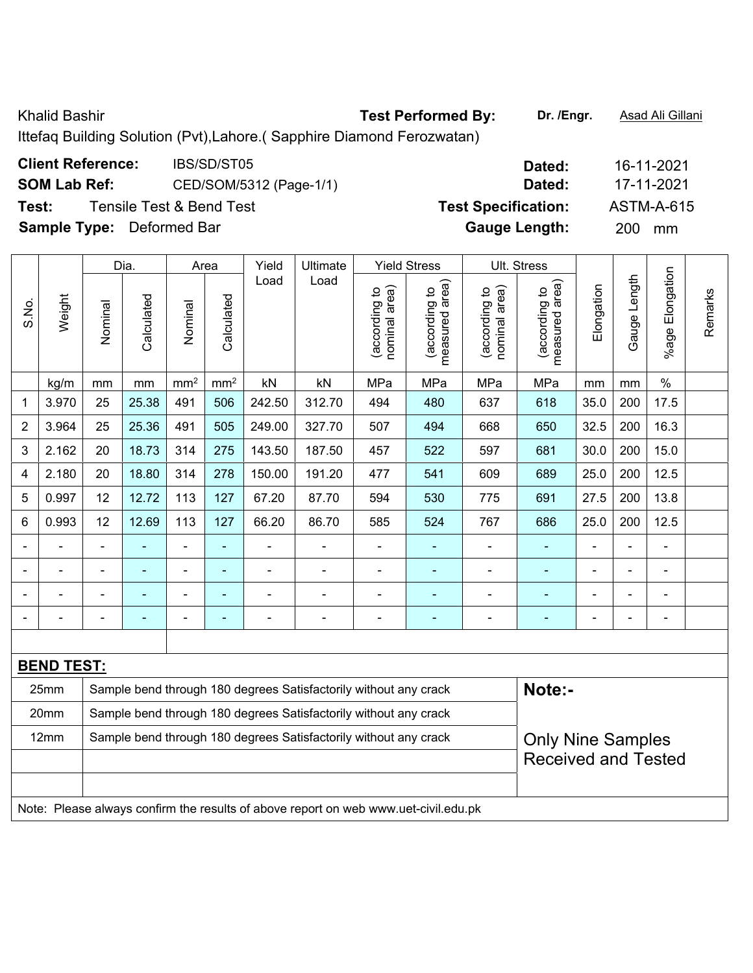Khalid Bashir **Test Performed By:** Dr. /Engr. **Asad Ali Gillani** Chalid Bashir Ittefaq Building Solution (Pvt),Lahore.( Sapphire Diamond Ferozwatan)

**Client Reference:** IBS/SD/ST05 **Dated:** 16-11-2021 **SOM Lab Ref:** CED/SOM/5312 (Page-1/1) **Dated:** 17-11-2021 **Test:** Tensile Test & Bend Test **Test Specification:** ASTM-A-615

**Sample Type:** Deformed Bar **Gauge Length:** 200 mm

|                |                                                                                     |                                                                                              | Dia.           |                              | Area           | Yield          | Ultimate                                                         |                                   | <b>Yield Stress</b>             |                                | Ult. Stress                     |                            |                |                 |         |  |
|----------------|-------------------------------------------------------------------------------------|----------------------------------------------------------------------------------------------|----------------|------------------------------|----------------|----------------|------------------------------------------------------------------|-----------------------------------|---------------------------------|--------------------------------|---------------------------------|----------------------------|----------------|-----------------|---------|--|
| S.No.          | Weight                                                                              | Nominal                                                                                      | Calculated     | Nominal                      | Calculated     | Load           | Load                                                             | area)<br>(according to<br>nominal | measured area)<br>(according to | nominal area)<br>(according to | measured area)<br>(according to | Elongation                 | Gauge Length   | %age Elongation | Remarks |  |
|                | kg/m                                                                                | mm                                                                                           | mm             | $\text{mm}^2$                | $\text{mm}^2$  | kN             | kN                                                               | MPa                               | MPa                             | MPa                            | MPa                             | mm                         | mm             | $\%$            |         |  |
| 1              | 3.970                                                                               | 25                                                                                           | 25.38          | 491                          | 506            | 242.50         | 312.70                                                           | 494                               | 480                             | 637                            | 618                             | 35.0                       | 200            | 17.5            |         |  |
| $\overline{2}$ | 3.964                                                                               | 25                                                                                           | 25.36          | 491                          | 505            | 249.00         | 327.70                                                           | 507                               | 494                             | 668                            | 650                             | 32.5                       | 200            | 16.3            |         |  |
| 3              | 2.162                                                                               | 20                                                                                           | 18.73          | 314                          | 275            | 143.50         | 187.50                                                           | 457                               | 522                             | 597                            | 681                             | 30.0                       | 200            | 15.0            |         |  |
| 4              | 2.180                                                                               | 20                                                                                           | 18.80          | 314                          | 278            | 150.00         | 191.20                                                           | 477                               | 541                             | 609                            | 689                             | 25.0                       | 200            | 12.5            |         |  |
| 5              | 0.997                                                                               | 12                                                                                           | 12.72          | 113                          | 127            | 67.20          | 87.70                                                            | 594                               | 530                             | 775                            | 691                             | 27.5                       | 200            | 13.8            |         |  |
| 6              | 0.993                                                                               | 12                                                                                           | 12.69          | 113                          | 127            | 66.20          | 86.70                                                            | 585                               | 524                             | 767                            | 686                             | 25.0                       | 200            | 12.5            |         |  |
|                |                                                                                     | $\overline{\phantom{a}}$                                                                     | ä,             | ÷,                           | $\blacksquare$ | ÷,             | ÷                                                                | $\blacksquare$                    | ٠                               | ÷,                             | $\blacksquare$                  | $\blacksquare$             | $\blacksquare$ | $\blacksquare$  |         |  |
|                |                                                                                     | $\blacksquare$                                                                               | ÷,             | ÷                            | $\blacksquare$ | $\blacksquare$ | $\blacksquare$                                                   | $\blacksquare$                    | ٠                               | ÷,                             | $\blacksquare$                  | $\blacksquare$             | $\blacksquare$ | $\blacksquare$  |         |  |
|                | $\blacksquare$                                                                      | $\blacksquare$                                                                               | $\blacksquare$ | $\qquad \qquad \blacksquare$ | $\blacksquare$ | $\blacksquare$ | $\blacksquare$                                                   | $\blacksquare$                    | ۰                               | $\blacksquare$                 | $\blacksquare$                  | $\blacksquare$             | $\blacksquare$ | $\blacksquare$  |         |  |
|                | $\blacksquare$                                                                      | $\blacksquare$                                                                               | ä,             | $\qquad \qquad \blacksquare$ | $\blacksquare$ | $\blacksquare$ | ÷                                                                | $\blacksquare$                    | $\blacksquare$                  | ÷                              | $\blacksquare$                  | ÷,                         | ÷,             | $\blacksquare$  |         |  |
|                |                                                                                     |                                                                                              |                |                              |                |                |                                                                  |                                   |                                 |                                |                                 |                            |                |                 |         |  |
|                | <b>BEND TEST:</b>                                                                   |                                                                                              |                |                              |                |                |                                                                  |                                   |                                 |                                |                                 |                            |                |                 |         |  |
|                | 25mm                                                                                |                                                                                              |                |                              |                |                | Sample bend through 180 degrees Satisfactorily without any crack |                                   |                                 |                                | Note:-                          |                            |                |                 |         |  |
|                | 20mm                                                                                |                                                                                              |                |                              |                |                | Sample bend through 180 degrees Satisfactorily without any crack |                                   |                                 |                                |                                 |                            |                |                 |         |  |
|                | 12mm                                                                                | Sample bend through 180 degrees Satisfactorily without any crack<br><b>Only Nine Samples</b> |                |                              |                |                |                                                                  |                                   |                                 |                                |                                 |                            |                |                 |         |  |
|                |                                                                                     |                                                                                              |                |                              |                |                |                                                                  |                                   |                                 |                                |                                 | <b>Received and Tested</b> |                |                 |         |  |
|                |                                                                                     |                                                                                              |                |                              |                |                |                                                                  |                                   |                                 |                                |                                 |                            |                |                 |         |  |
|                | Note: Please always confirm the results of above report on web www.uet-civil.edu.pk |                                                                                              |                |                              |                |                |                                                                  |                                   |                                 |                                |                                 |                            |                |                 |         |  |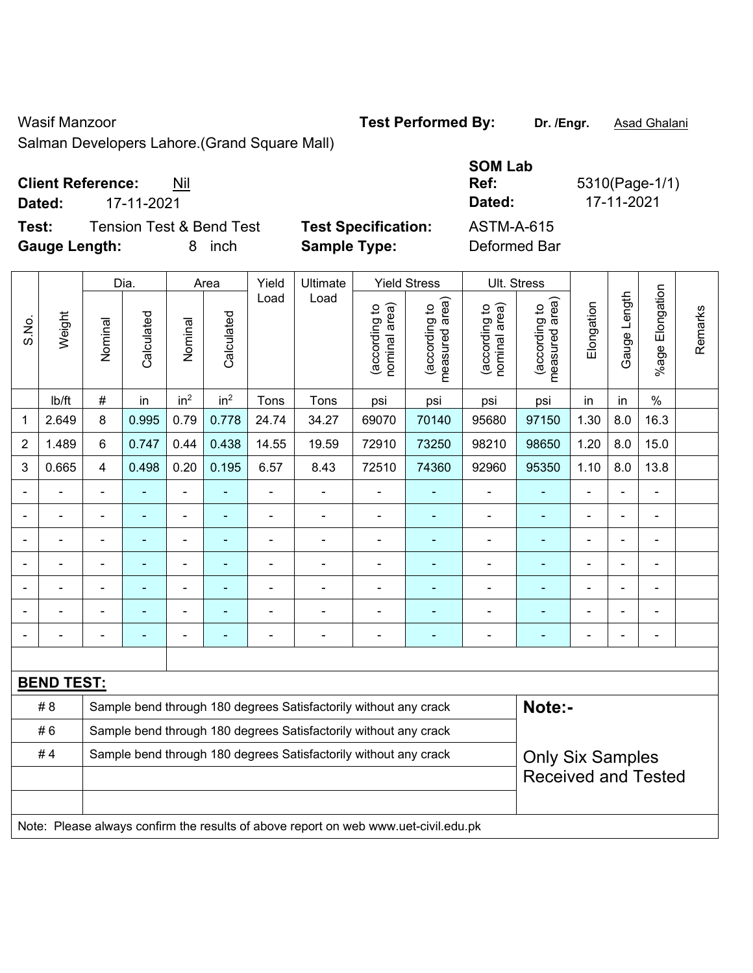Wasif Manzoor **Test Performed By:** Dr. /Engr. **Asad Ghalani** Chalani

Salman Developers Lahore.(Grand Square Mall)

## **Client Reference:** Nil

**Dated:** 17-11-2021 **Dated:** 17-11-2021

**Test:** Tension Test & Bend Test **Test Specification: Gauge Length:** 8 inch **Sample Type:** Deformed Bar

| <b>SOM Lab</b><br>Ref:<br>Dated: | 5310(Page-1/1)<br>17-11-2021 |
|----------------------------------|------------------------------|
| ASTM-A-615                       |                              |
| Deformed Ror                     |                              |

|                |                   |                                                                  | Dia.           |                              | Area            | Yield          | Ultimate                                                                            |                                | <b>Yield Stress</b>             |                                | Ult. Stress                     |                |                |                    |         |
|----------------|-------------------|------------------------------------------------------------------|----------------|------------------------------|-----------------|----------------|-------------------------------------------------------------------------------------|--------------------------------|---------------------------------|--------------------------------|---------------------------------|----------------|----------------|--------------------|---------|
| S.No.          | Weight            | Nominal                                                          | Calculated     | Nominal                      | Calculated      | Load           | Load                                                                                | (according to<br>nominal area) | (according to<br>measured area) | nominal area)<br>(according to | (according to<br>measured area) | Elongation     | Gauge Length   | Elongation<br>%age | Remarks |
|                | lb/ft             | $\#$                                                             | in             | in <sup>2</sup>              | in <sup>2</sup> | Tons           | Tons                                                                                | psi                            | psi                             | psi                            | psi                             | in             | in             | $\%$               |         |
| 1              | 2.649             | 8                                                                | 0.995          | 0.79                         | 0.778           | 24.74          | 34.27                                                                               | 69070                          | 70140                           | 95680                          | 97150                           | 1.30           | 8.0            | 16.3               |         |
| $\overline{2}$ | 1.489             | 6                                                                | 0.747          | 0.44                         | 0.438           | 14.55          | 19.59                                                                               | 72910                          | 73250                           | 98210                          | 98650                           | 1.20           | 8.0            | 15.0               |         |
| 3              | 0.665             | $\overline{4}$                                                   | 0.498          | 0.20                         | 0.195           | 6.57           | 8.43                                                                                | 72510                          | 74360                           | 92960                          | 95350                           | 1.10           | 8.0            | 13.8               |         |
|                |                   | $\blacksquare$                                                   | ä,             | ÷,                           |                 | ÷,             | ÷                                                                                   | ä,                             |                                 | $\blacksquare$                 | $\blacksquare$                  | ä,             |                | $\blacksquare$     |         |
|                |                   | $\blacksquare$                                                   | ä,             | $\blacksquare$               | $\blacksquare$  | $\blacksquare$ | ä,                                                                                  | $\blacksquare$                 | ٠                               | $\blacksquare$                 | $\blacksquare$                  | ä,             |                | $\blacksquare$     |         |
|                |                   |                                                                  | $\blacksquare$ | $\overline{a}$               |                 |                | Ě.                                                                                  | $\blacksquare$                 |                                 | $\blacksquare$                 |                                 |                |                | L,                 |         |
|                |                   |                                                                  |                | ÷                            |                 |                | Ē,                                                                                  | $\blacksquare$                 |                                 | $\blacksquare$                 |                                 | $\blacksquare$ |                | $\blacksquare$     |         |
| ۰              |                   | $\blacksquare$                                                   | $\blacksquare$ | $\qquad \qquad \blacksquare$ | ٠               | $\blacksquare$ | $\blacksquare$                                                                      | $\blacksquare$                 | ٠                               | $\blacksquare$                 | $\blacksquare$                  | $\blacksquare$ | $\blacksquare$ | $\blacksquare$     |         |
|                |                   |                                                                  | $\blacksquare$ | $\blacksquare$               |                 |                | $\blacksquare$                                                                      | $\blacksquare$                 |                                 | $\blacksquare$                 | $\overline{\phantom{a}}$        | $\blacksquare$ |                | ä,                 |         |
|                |                   | $\blacksquare$                                                   | $\blacksquare$ | $\overline{a}$               | ۰               | ÷,             | ä,                                                                                  | $\blacksquare$                 |                                 | $\blacksquare$                 | $\blacksquare$                  | ä,             |                | ÷,                 |         |
|                |                   |                                                                  |                |                              |                 |                |                                                                                     |                                |                                 |                                |                                 |                |                |                    |         |
|                | <b>BEND TEST:</b> |                                                                  |                |                              |                 |                |                                                                                     |                                |                                 |                                |                                 |                |                |                    |         |
|                | #8                |                                                                  |                |                              |                 |                | Sample bend through 180 degrees Satisfactorily without any crack                    |                                |                                 |                                | Note:-                          |                |                |                    |         |
|                | #6                | Sample bend through 180 degrees Satisfactorily without any crack |                |                              |                 |                |                                                                                     |                                |                                 |                                |                                 |                |                |                    |         |
|                | #4                | Sample bend through 180 degrees Satisfactorily without any crack |                |                              |                 |                |                                                                                     |                                |                                 |                                | <b>Only Six Samples</b>         |                |                |                    |         |
|                |                   |                                                                  |                |                              |                 |                |                                                                                     |                                |                                 | <b>Received and Tested</b>     |                                 |                |                |                    |         |
|                |                   |                                                                  |                |                              |                 |                |                                                                                     |                                |                                 |                                |                                 |                |                |                    |         |
|                |                   |                                                                  |                |                              |                 |                | Note: Please always confirm the results of above report on web www.uet-civil.edu.pk |                                |                                 |                                |                                 |                |                |                    |         |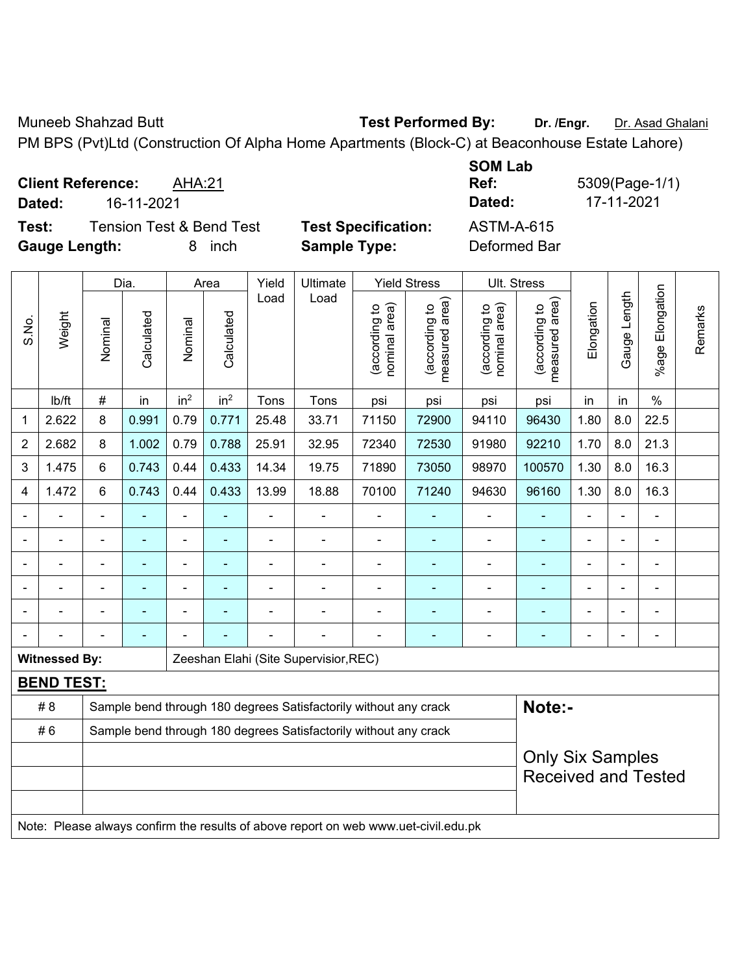Muneeb Shahzad Butt **Test Performed By:** Dr. /Engr. Dr. Asad Ghalani

PM BPS (Pvt)Ltd (Construction Of Alpha Home Apartments (Block-C) at Beaconhouse Estate Lahore)

**Client Reference:** AHA:21 **Dated:** 16-11-2021 **Dated:** 17-11-2021

**Test:** Tension Test & Bend Test **Test Specification:** ASTM-A-615 **Gauge Length:** 8 inch **Sample Type:** Deformed Bar

**SOM Lab** 

**Ref:** 5309(Page-1/1)

|       |                      |                                                                  | Dia.           | Area                     |                 | Yield<br>Load  | Ultimate                                                                            |                                | <b>Yield Stress</b>             |                                | Ult. Stress                     |                |                |                              |         |
|-------|----------------------|------------------------------------------------------------------|----------------|--------------------------|-----------------|----------------|-------------------------------------------------------------------------------------|--------------------------------|---------------------------------|--------------------------------|---------------------------------|----------------|----------------|------------------------------|---------|
| S.No. | Weight               | Nominal                                                          | Calculated     | Nominal                  | Calculated      |                | Load                                                                                | nominal area)<br>(according to | (according to<br>measured area) | (according to<br>nominal area) | (according to<br>measured area) | Elongation     | Gauge Length   | Elongation<br>%age           | Remarks |
|       | Ib/ft                | $\#$                                                             | in             | in <sup>2</sup>          | in <sup>2</sup> | Tons           | Tons                                                                                | psi                            | psi                             | psi                            | psi                             | in             | in             | $\%$                         |         |
| 1     | 2.622                | 8                                                                | 0.991          | 0.79                     | 0.771           | 25.48          | 33.71                                                                               | 71150                          | 72900                           | 94110                          | 96430                           | 1.80           | 8.0            | 22.5                         |         |
| 2     | 2.682                | 8                                                                | 1.002          | 0.79                     | 0.788           | 25.91          | 32.95                                                                               | 72340                          | 72530                           | 91980                          | 92210                           | 1.70           | 8.0            | 21.3                         |         |
| 3     | 1.475                | 6                                                                | 0.743          | 0.44                     | 0.433           | 14.34          | 19.75                                                                               | 71890                          | 73050                           | 98970                          | 100570                          | 1.30           | 8.0            | 16.3                         |         |
| 4     | 1.472                | 6                                                                | 0.743          | 0.44                     | 0.433           | 13.99          | 18.88                                                                               | 70100                          | 71240                           | 94630                          | 96160                           | 1.30           | 8.0            | 16.3                         |         |
|       |                      | $\blacksquare$                                                   | $\blacksquare$ | ÷,                       | ä,              | $\blacksquare$ | $\blacksquare$                                                                      | $\blacksquare$                 |                                 | ä,                             | ÷,                              | $\overline{a}$ | $\blacksquare$ | $\blacksquare$               |         |
|       |                      |                                                                  | L,             | ä,                       |                 |                | $\blacksquare$                                                                      | $\blacksquare$                 |                                 | ä,                             |                                 |                |                | ä,                           |         |
|       |                      |                                                                  | ÷              | ÷                        |                 |                |                                                                                     | $\blacksquare$                 |                                 | $\blacksquare$                 | ÷,                              |                |                | $\blacksquare$               |         |
|       |                      | $\blacksquare$                                                   | $\blacksquare$ | $\overline{\phantom{a}}$ | ۰               | $\blacksquare$ | $\blacksquare$                                                                      | $\overline{a}$                 | ۰                               | $\blacksquare$                 | ۰                               | $\blacksquare$ | $\blacksquare$ | $\qquad \qquad \blacksquare$ |         |
|       |                      | $\blacksquare$                                                   | ۰              | ÷                        |                 |                | $\blacksquare$                                                                      | $\blacksquare$                 | ٠                               | $\blacksquare$                 | $\blacksquare$                  |                |                | ÷,                           |         |
|       |                      |                                                                  | L,             |                          |                 |                | ä,                                                                                  |                                |                                 | Ē,                             | ÷,                              | $\blacksquare$ |                | $\blacksquare$               |         |
|       | <b>Witnessed By:</b> |                                                                  |                |                          |                 |                | Zeeshan Elahi (Site Supervisior, REC)                                               |                                |                                 |                                |                                 |                |                |                              |         |
|       | <b>BEND TEST:</b>    |                                                                  |                |                          |                 |                |                                                                                     |                                |                                 |                                |                                 |                |                |                              |         |
|       | #8                   |                                                                  |                |                          |                 |                | Sample bend through 180 degrees Satisfactorily without any crack                    |                                |                                 |                                | Note:-                          |                |                |                              |         |
|       | #6                   | Sample bend through 180 degrees Satisfactorily without any crack |                |                          |                 |                |                                                                                     |                                |                                 |                                |                                 |                |                |                              |         |
|       |                      | <b>Only Six Samples</b>                                          |                |                          |                 |                |                                                                                     |                                |                                 |                                |                                 |                |                |                              |         |
|       |                      |                                                                  |                |                          |                 |                |                                                                                     |                                |                                 |                                | <b>Received and Tested</b>      |                |                |                              |         |
|       |                      |                                                                  |                |                          |                 |                |                                                                                     |                                |                                 |                                |                                 |                |                |                              |         |
|       |                      |                                                                  |                |                          |                 |                | Note: Please always confirm the results of above report on web www.uet-civil.edu.pk |                                |                                 |                                |                                 |                |                |                              |         |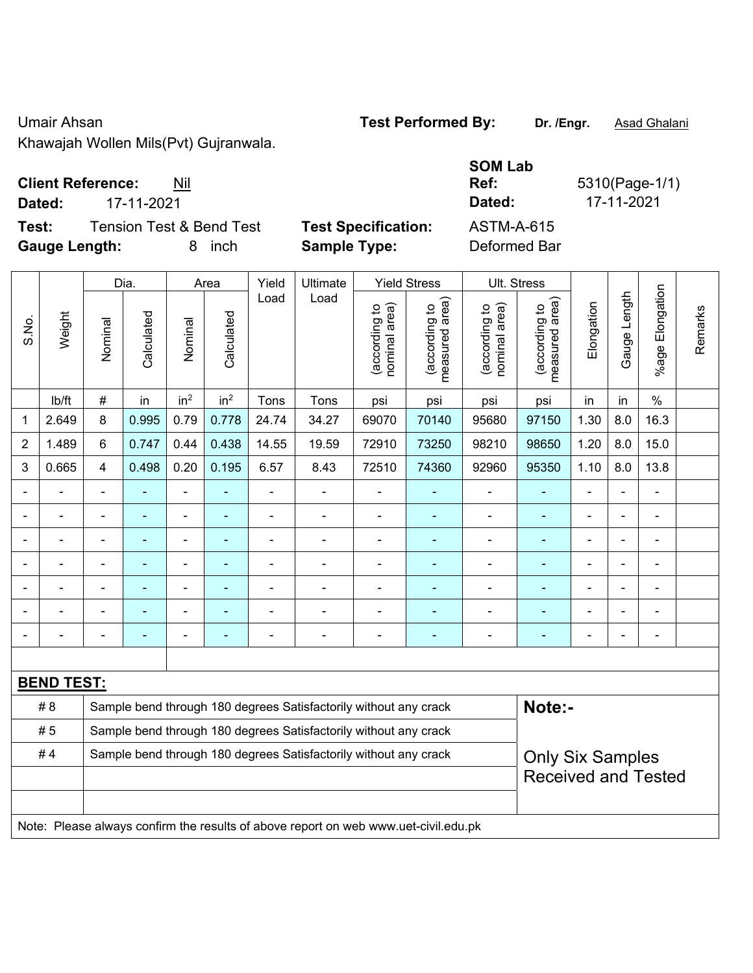Umair Ahsan **Test Performed By:** Dr. /Engr. **Asad Ghalani** 

Khawajah Wollen Mils(Pvt) Gujranwala.

## **Client Reference:** Nil

**Dated:** 17-11-2021 **Dated:** 17-11-2021

**Test:** Tension Test & Bend Test Test Specification: **Gauge Length:** 8 inch **Sample Type:** Deformed Bar

| <b>SOM Lab</b>    |                |
|-------------------|----------------|
| Ref:              | 5310(Page-1/1) |
| Dated:            | 17-11-2021     |
| <b>ASTM-A-615</b> |                |
| Deformed Rar      |                |

|                |                   |                                                                  | Dia.           |                          | Area            | Yield                    | Ultimate<br>Load                                                                    |                                | <b>Yield Stress</b>             |                                | Ult. Stress                     |                |              |                         |         |
|----------------|-------------------|------------------------------------------------------------------|----------------|--------------------------|-----------------|--------------------------|-------------------------------------------------------------------------------------|--------------------------------|---------------------------------|--------------------------------|---------------------------------|----------------|--------------|-------------------------|---------|
| S.No.          | Weight            | Nominal                                                          | Calculated     | Nominal                  | Calculated      | Load                     |                                                                                     | nominal area)<br>(according to | (according to<br>measured area) | (according to<br>nominal area) | (according to<br>measured area) | Elongation     | Gauge Length | Elongation<br>$%$ age I | Remarks |
|                | lb/ft             | #                                                                | in             | in <sup>2</sup>          | in <sup>2</sup> | Tons                     | Tons                                                                                | psi                            | psi                             | psi                            | psi                             | in             | in           | $\frac{0}{0}$           |         |
| 1              | 2.649             | 8                                                                | 0.995          | 0.79                     | 0.778           | 24.74                    | 34.27                                                                               | 69070                          | 70140                           | 95680                          | 97150                           | 1.30           | 8.0          | 16.3                    |         |
| $\overline{2}$ | 1.489             | 6                                                                | 0.747          | 0.44                     | 0.438           | 14.55                    | 19.59                                                                               | 72910                          | 73250                           | 98210                          | 98650                           | 1.20           | 8.0          | 15.0                    |         |
| 3              | 0.665             | 4                                                                | 0.498          | 0.20                     | 0.195           | 6.57                     | 8.43                                                                                | 72510                          | 74360                           | 92960                          | 95350                           | 1.10           | 8.0          | 13.8                    |         |
|                |                   | ä,                                                               |                | ä,                       |                 | $\blacksquare$           | $\blacksquare$                                                                      | $\blacksquare$                 |                                 | $\blacksquare$                 | $\blacksquare$                  | L,             |              | $\blacksquare$          |         |
|                | $\blacksquare$    | ä,                                                               | $\blacksquare$ | $\blacksquare$           | ٠               | $\blacksquare$           | $\blacksquare$                                                                      | $\overline{\phantom{a}}$       | ÷                               | $\overline{\phantom{a}}$       | $\blacksquare$                  | $\blacksquare$ |              | $\blacksquare$          |         |
|                | $\blacksquare$    | ä,                                                               | ÷              | ÷                        | ٠               | L,                       | $\blacksquare$                                                                      | $\blacksquare$                 |                                 | $\blacksquare$                 | $\blacksquare$                  |                |              | ä,                      |         |
|                |                   |                                                                  |                |                          |                 | ä,                       | $\blacksquare$                                                                      | $\blacksquare$                 |                                 | $\overline{a}$                 | $\overline{a}$                  | $\overline{a}$ |              | $\blacksquare$          |         |
|                |                   |                                                                  |                | $\blacksquare$           |                 |                          | $\blacksquare$                                                                      | $\blacksquare$                 |                                 |                                |                                 |                |              |                         |         |
|                |                   |                                                                  |                |                          |                 |                          |                                                                                     |                                |                                 | $\blacksquare$                 |                                 |                |              | $\blacksquare$          |         |
|                |                   | $\blacksquare$                                                   |                | $\overline{\phantom{0}}$ | ٠               | $\overline{\phantom{0}}$ | $\blacksquare$                                                                      | $\blacksquare$                 | $\blacksquare$                  | $\overline{\phantom{a}}$       | $\blacksquare$                  | $\blacksquare$ |              | $\blacksquare$          |         |
|                |                   |                                                                  |                |                          |                 |                          |                                                                                     |                                |                                 |                                |                                 |                |              |                         |         |
|                | <b>BEND TEST:</b> |                                                                  |                |                          |                 |                          |                                                                                     |                                |                                 |                                |                                 |                |              |                         |         |
|                | # 8               | Sample bend through 180 degrees Satisfactorily without any crack |                |                          |                 |                          |                                                                                     |                                |                                 |                                | Note:-                          |                |              |                         |         |
|                | #5                | Sample bend through 180 degrees Satisfactorily without any crack |                |                          |                 |                          |                                                                                     |                                |                                 |                                |                                 |                |              |                         |         |
|                | #4                | Sample bend through 180 degrees Satisfactorily without any crack |                |                          |                 |                          |                                                                                     |                                |                                 | <b>Only Six Samples</b>        |                                 |                |              |                         |         |
|                |                   |                                                                  |                |                          |                 |                          |                                                                                     |                                |                                 |                                | <b>Received and Tested</b>      |                |              |                         |         |
|                |                   |                                                                  |                |                          |                 |                          |                                                                                     |                                |                                 |                                |                                 |                |              |                         |         |
|                |                   |                                                                  |                |                          |                 |                          | Note: Please always confirm the results of above report on web www.uet-civil.edu.pk |                                |                                 |                                |                                 |                |              |                         |         |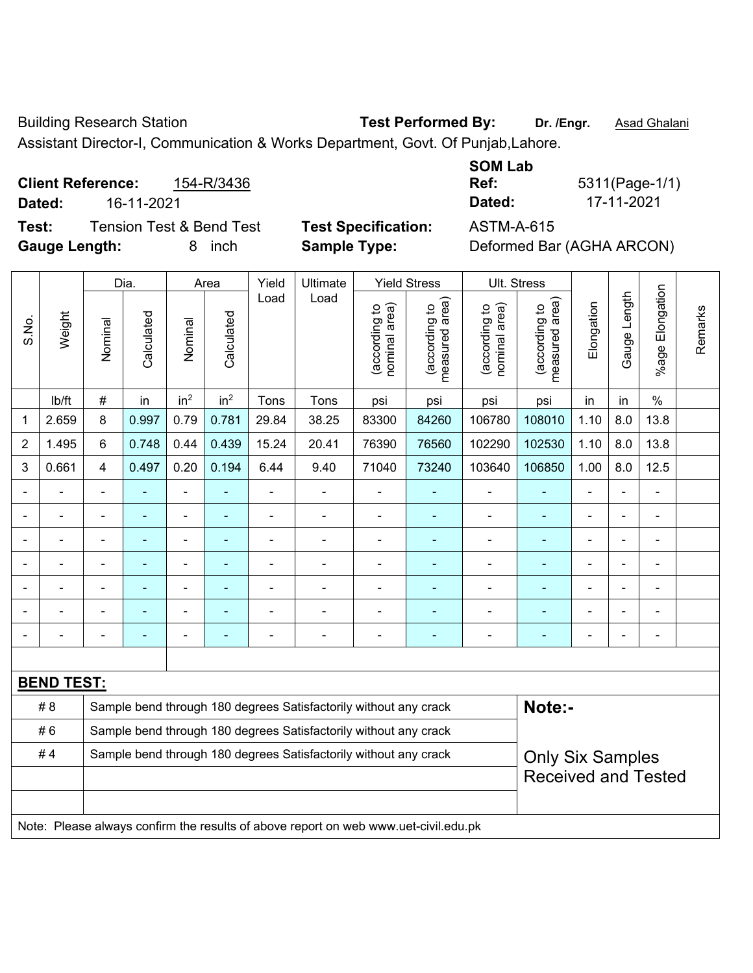Building Research Station **Test Performed By:** Dr. /Engr. **Asad Ghalani** 

Assistant Director-I, Communication & Works Department, Govt. Of Punjab,Lahore.

**Client Reference:** 154-R/3436 **Dated:** 16-11-2021 **Dated:** 17-11-2021 **Test:** Tension Test & Bend Test **Test Specification:** ASTM-A-615

**SOM Lab Ref:** 5311(Page-1/1)

**Gauge Length:** 8 inch **Sample Type:** Deformed Bar (AGHA ARCON)

|                          | Dia.              |                                                                  |                          |                 | Area            | Yield<br>Ultimate |                                                                                     |                                | <b>Yield Stress</b>                         |                                | Ult. Stress                     |                |              |                       |         |
|--------------------------|-------------------|------------------------------------------------------------------|--------------------------|-----------------|-----------------|-------------------|-------------------------------------------------------------------------------------|--------------------------------|---------------------------------------------|--------------------------------|---------------------------------|----------------|--------------|-----------------------|---------|
| S.No.                    | Weight            | Nominal                                                          | Calculated               | Nominal         | Calculated      | Load              | Load                                                                                | nominal area)<br>(according to | (according to<br>measured area)<br>measured | nominal area)<br>(according to | (according to<br>measured area) | Elongation     | Gauge Length | Elongation<br>$%$ age | Remarks |
|                          | lb/ft             | $\#$                                                             | in                       | in <sup>2</sup> | in <sup>2</sup> | Tons              | Tons                                                                                | psi                            | psi                                         | psi                            | psi                             | in             | in           | $\%$                  |         |
| 1                        | 2.659             | 8                                                                | 0.997                    | 0.79            | 0.781           | 29.84             | 38.25                                                                               | 83300                          | 84260                                       | 106780                         | 108010                          | 1.10           | 8.0          | 13.8                  |         |
| $\overline{2}$           | 1.495             | 6                                                                | 0.748                    | 0.44            | 0.439           | 15.24             | 20.41                                                                               | 76390                          | 76560                                       | 102290                         | 102530                          | 1.10           | 8.0          | 13.8                  |         |
| 3                        | 0.661             | $\overline{4}$                                                   | 0.497                    | 0.20            | 0.194           | 6.44              | 9.40                                                                                | 71040                          | 73240                                       | 103640                         | 106850                          | 1.00           | 8.0          | 12.5                  |         |
|                          |                   | $\blacksquare$                                                   | $\blacksquare$           | ÷,              |                 | $\blacksquare$    | ÷                                                                                   | $\overline{\phantom{a}}$       | $\blacksquare$                              | ÷                              | $\blacksquare$                  | $\blacksquare$ |              | ÷,                    |         |
|                          | ÷                 |                                                                  | $\blacksquare$           | $\overline{a}$  | ä,              |                   | ä,                                                                                  | $\blacksquare$                 | $\blacksquare$                              | ÷,                             | ÷,                              | $\blacksquare$ |              | $\blacksquare$        |         |
|                          |                   |                                                                  | $\blacksquare$           | ۰               |                 | $\blacksquare$    | $\blacksquare$                                                                      | ä,                             | ٠                                           | $\overline{\phantom{0}}$       | $\blacksquare$                  | $\overline{a}$ |              | $\blacksquare$        |         |
|                          |                   |                                                                  | -                        | $\blacksquare$  |                 |                   | Ē,                                                                                  | ä,                             | ۰                                           | $\blacksquare$                 |                                 |                |              | $\blacksquare$        |         |
|                          |                   |                                                                  |                          | ۰               |                 |                   |                                                                                     | $\blacksquare$                 |                                             |                                |                                 |                |              | $\blacksquare$        |         |
|                          |                   |                                                                  |                          | ۰               |                 |                   |                                                                                     | $\blacksquare$                 |                                             |                                |                                 |                |              | $\blacksquare$        |         |
| $\overline{\phantom{0}}$ |                   |                                                                  | $\overline{\phantom{0}}$ | ۰               |                 | $\blacksquare$    | Ē,                                                                                  | $\blacksquare$                 | ۰                                           | $\overline{\phantom{0}}$       | $\overline{\phantom{0}}$        | $\blacksquare$ | ÷            | ۰                     |         |
|                          |                   |                                                                  |                          |                 |                 |                   |                                                                                     |                                |                                             |                                |                                 |                |              |                       |         |
|                          | <b>BEND TEST:</b> |                                                                  |                          |                 |                 |                   |                                                                                     |                                |                                             |                                |                                 |                |              |                       |         |
|                          | # 8               |                                                                  |                          |                 |                 |                   | Sample bend through 180 degrees Satisfactorily without any crack                    |                                |                                             |                                | Note:-                          |                |              |                       |         |
|                          | #6                | Sample bend through 180 degrees Satisfactorily without any crack |                          |                 |                 |                   |                                                                                     |                                |                                             |                                |                                 |                |              |                       |         |
|                          | #4                | Sample bend through 180 degrees Satisfactorily without any crack |                          |                 |                 |                   |                                                                                     |                                |                                             |                                | <b>Only Six Samples</b>         |                |              |                       |         |
|                          |                   |                                                                  |                          |                 |                 |                   |                                                                                     |                                |                                             |                                | <b>Received and Tested</b>      |                |              |                       |         |
|                          |                   |                                                                  |                          |                 |                 |                   |                                                                                     |                                |                                             |                                |                                 |                |              |                       |         |
|                          |                   |                                                                  |                          |                 |                 |                   | Note: Please always confirm the results of above report on web www.uet-civil.edu.pk |                                |                                             |                                |                                 |                |              |                       |         |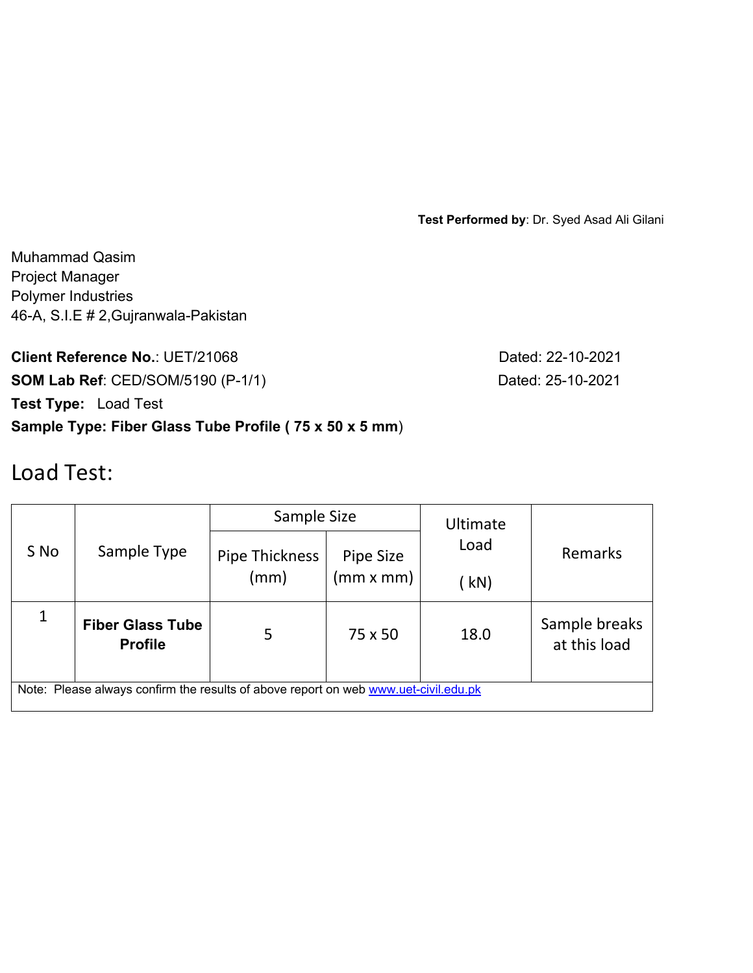**Test Performed by**: Dr. Syed Asad Ali Gilani

Muhammad Qasim Project Manager Polymer Industries 46-A, S.I.E # 2,Gujranwala-Pakistan

**Client Reference No.: UET/21068** Dated: 22-10-2021 **SOM Lab Ref**: CED/SOM/5190 (P-1/1) Dated: 25-10-2021 **Test Type:** Load Test

**Sample Type: Fiber Glass Tube Profile ( 75 x 50 x 5 mm**)

# Load Test:

|                                                                                     |                                           | Sample Size           |           | Ultimate |                               |  |  |  |  |  |
|-------------------------------------------------------------------------------------|-------------------------------------------|-----------------------|-----------|----------|-------------------------------|--|--|--|--|--|
| S No                                                                                | Sample Type                               | <b>Pipe Thickness</b> | Pipe Size | Load     | Remarks                       |  |  |  |  |  |
|                                                                                     |                                           | (mm)                  | (mm x mm) | kN)      |                               |  |  |  |  |  |
|                                                                                     | <b>Fiber Glass Tube</b><br><b>Profile</b> | 5                     | 75 x 50   | 18.0     | Sample breaks<br>at this load |  |  |  |  |  |
| Note: Please always confirm the results of above report on web www.uet-civil.edu.pk |                                           |                       |           |          |                               |  |  |  |  |  |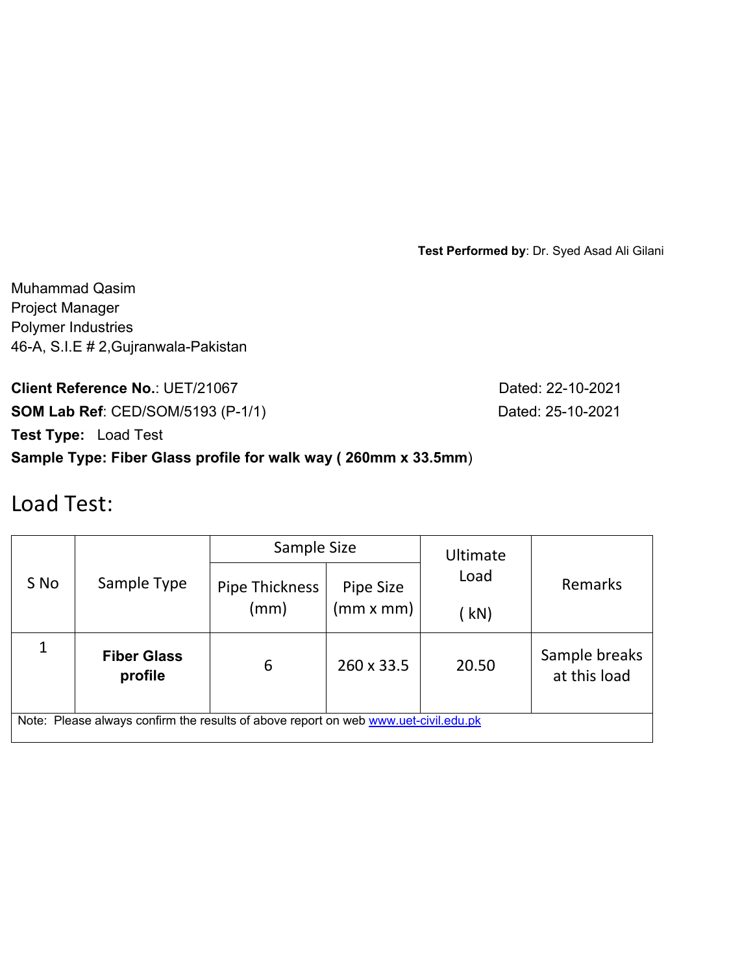**Test Performed by**: Dr. Syed Asad Ali Gilani

Muhammad Qasim Project Manager Polymer Industries 46-A, S.I.E # 2,Gujranwala-Pakistan

**Client Reference No.: UET/21067 Dated: 22-10-2021 SOM Lab Ref**: CED/SOM/5193 (P-1/1) Dated: 25-10-2021

**Test Type:** Load Test

### **Sample Type: Fiber Glass profile for walk way ( 260mm x 33.5mm**)

## Load Test:

|                                                                                     |                               | Sample Size           |            | <b>Ultimate</b> |                               |  |  |  |  |  |
|-------------------------------------------------------------------------------------|-------------------------------|-----------------------|------------|-----------------|-------------------------------|--|--|--|--|--|
| S No                                                                                | Sample Type                   | <b>Pipe Thickness</b> | Pipe Size  | Load            | Remarks                       |  |  |  |  |  |
|                                                                                     |                               | (mm)                  | (mm x mm)  | ' kN)           |                               |  |  |  |  |  |
|                                                                                     | <b>Fiber Glass</b><br>profile | 6                     | 260 x 33.5 | 20.50           | Sample breaks<br>at this load |  |  |  |  |  |
| Note: Please always confirm the results of above report on web www.uet-civil.edu.pk |                               |                       |            |                 |                               |  |  |  |  |  |